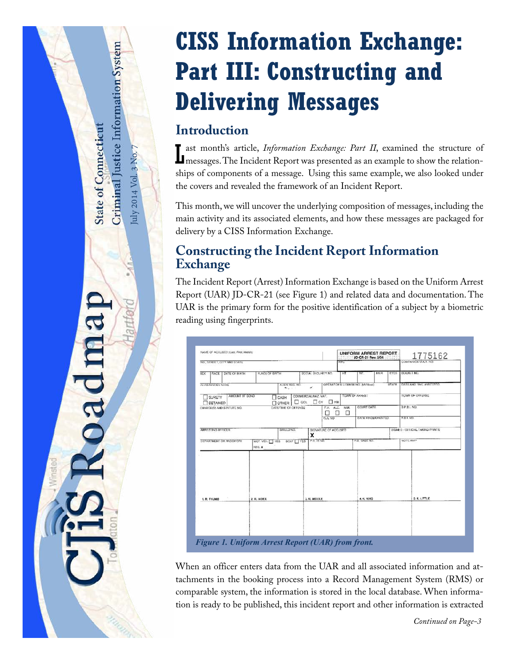# **CISS Information Exchange: Part III: Constructing and Delivering Messages**

# **Introduction**

July 2014 Vol. 3 No. 7

uly 2014 Vol. 3 No.

<span id="page-0-1"></span>Criminal Justice Information System

**State of Connecticut** 

oadmap

**L** ast month's article, *Information Exchange: Part II*, examined the structure of messages. The Incident Report was presented as an example to show the relation-**I** messages. The Incident Report was presented as an example to show the relationships of components of a message. Using this same example, we also looked under the covers and revealed the framework of an Incident Report.

This month, we will uncover the underlying composition of messages, including the main activity and its associated elements, and how these messages are packaged for delivery by a CISS Information Exchange.

## **Constructing the Incident Report Information Exchange**

The Incident Report (Arrest) Information Exchange is based on the Uniform Arrest Report (UAR) JD-CR-21 (see [Figure 1](#page-0-0)) and related data and documentation. The UAR is the primary form for the positive identification of a subject by a biometric reading using fingerprints.

| NAME OF ACCUSED (Last, First, Mature)                                 |                |                                        |                                              |                          | <b>UNIFORM ARREST REPORT.</b><br>JD-CR-21 Rev. 2/04 |                                  |       |              | 1775162           |                                 |  |
|-----------------------------------------------------------------------|----------------|----------------------------------------|----------------------------------------------|--------------------------|-----------------------------------------------------|----------------------------------|-------|--------------|-------------------|---------------------------------|--|
| NO., STREET, CITY AND STATE                                           |                |                                        |                                              |                          | <b>FPC</b>                                          |                                  |       |              |                   | COMPANION U.A.R. NO.            |  |
| RACE   DATE OF BIRTH<br><b>REX</b>                                    | PLACE OF BIRTH |                                        | SOCIAL SECURITY NO.                          |                          | m                                                   | WT                               | HAIR  | EYES         | <b>DOCKET NO.</b> |                                 |  |
| ALIAS GANDEN NAME                                                     |                | ALIEN REG. NO.<br>$m_{\rm vir} \sim 1$ | $\mathcal{M}$                                |                          |                                                     | OPERATOR'S LICENSE NO. (MV/Boat) |       | <b>STATE</b> |                   | <b>DATE AND TIME ARRESTED</b>   |  |
| AMOUNT OF BOND.<br>SURETY<br>CASH                                     |                |                                        | COMMERCIAL NA2, MAT.<br>$\Box$ CDL $\Box$ CV | H                        | TUWN OF AHREST                                      |                                  |       |              | TOWN OF OFFICASE  |                                 |  |
| DETAINED<br>CHARGE(S) AND STATUTE NO.                                 |                | <b>OTHER</b><br>DATE/TIME OF OFFIENSE  |                                              | F.V. ALC: NAR.<br>п<br>П | П                                                   | <b>COURT DATE</b>                |       |              | SP.B.I. NO.       |                                 |  |
|                                                                       |                | <b>GANO</b>                            |                                              | DATE FINCERPRINTED       |                                                     |                                  | FBLND |              |                   |                                 |  |
| ARRESTING OFFICER                                                     |                | SHELD NO.                              | x                                            | SIGNATURE OF ACCUSED     |                                                     |                                  |       |              |                   | SIGNED - OFFICIAL TAKING PRINTS |  |
| DEPARTMENT OR TROOP/ORI<br>BOAT YES<br>MCT. VEH. TYES<br><b>REG.M</b> |                |                                        | P.O. 10 NO                                   |                          | P.D. CASE NO.                                       |                                  |       | NOTE AND     |                   |                                 |  |
| 1. R. THUMB                                                           | 2. R. NDEX     |                                        |                                              | 3. R. MIDDLE             |                                                     | 4. R. RING                       |       |              | S.R. LITTLE       |                                 |  |
|                                                                       |                |                                        |                                              |                          |                                                     |                                  |       |              |                   |                                 |  |

<span id="page-0-0"></span>When an officer enters data from the UAR and all associated information and attachments in the booking process into a Record Management System (RMS) or comparable system, the information is stored in the local database. When information is ready to be published, this incident report and other information is extracted

*Continued on Page-3*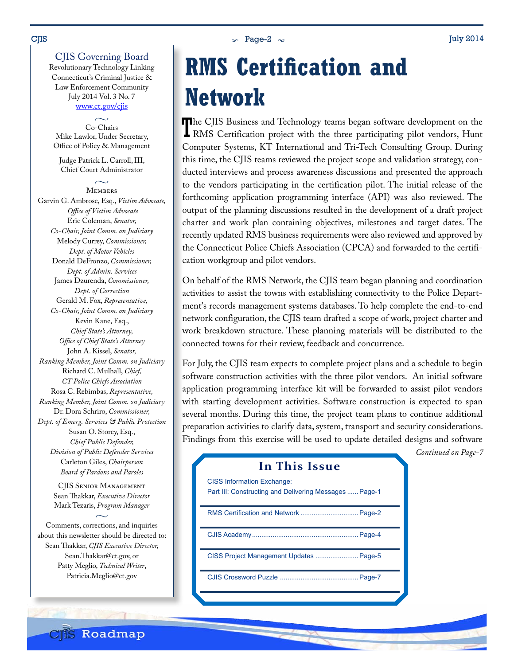#### $\sim$  Page-2  $\sim$  Dage-2  $\sim$  July 2014

#### CJIS Governing Board

Revolutionary Technology Linking Connecticut's Criminal Justice & Law Enforcement Community July 2014 Vol. 3 No. 7 www.ct.gov/cjis

 $\sim$ Co-Chairs Mike Lawlor, Under Secretary, Office of Policy & Management

Judge Patrick L. Carroll, III, Chief Court Administrator  $\sim$ 

**MEMBERS** Garvin G. Ambrose, Esq., *Victim Advocate, Office of Victim Advocate* Eric Coleman, *Senator, Co-Chair, Joint Comm. on Judiciary* Melody Currey, *Commissioner, Dept. of Motor Vehicles* Donald DeFronzo, *Commissioner, Dept. of Admin. Services* James Dzurenda, *Commissioner, Dept. of Correction* Gerald M. Fox, *Representative, Co-Chair, Joint Comm. on Judiciary* Kevin Kane, Esq., *Chief State's Attorney, Office of Chief State's Attorney* John A. Kissel, *Senator, Ranking Member, Joint Comm. on Judiciary* Richard C. Mulhall, *Chief, CT Police Chiefs Association* Rosa C. Rebimbas, *Representative, Ranking Member, Joint Comm. on Judiciary* Dr. Dora Schriro, *Commissioner, Dept. of Emerg. Services & Public Protection* Susan O. Storey, Esq., *Chief Public Defender, Division of Public Defender Services* Carleton Giles, *Chairperson Board of Pardons and Paroles*

> CJIS Senior Management Sean Thakkar, *Executive Director* Mark Tezaris, *Program Manager*  $\sim$

Comments, corrections, and inquiries about this newsletter should be directed to: Sean Thakkar, *CJIS Executive Director,* Sean.Thakkar@ct.gov, or Patty Meglio, *Technical Writer*, Patricia.Meglio@ct.gov

**CIIS Roadmap** 

# **RMS Certification and Network**

The CJIS Business and Technology teams began software development on the RMS Certification project with the three participating pilot vendors, Hunt RMS Certification project with the three participating pilot vendors, Hunt Computer Systems, KT International and Tri-Tech Consulting Group. During this time, the CJIS teams reviewed the project scope and validation strategy, conducted interviews and process awareness discussions and presented the approach to the vendors participating in the certification pilot. The initial release of the forthcoming application programming interface (API) was also reviewed. The output of the planning discussions resulted in the development of a draft project charter and work plan containing objectives, milestones and target dates. The recently updated RMS business requirements were also reviewed and approved by the Connecticut Police Chiefs Association (CPCA) and forwarded to the certification workgroup and pilot vendors.

On behalf of the RMS Network, the CJIS team began planning and coordination activities to assist the towns with establishing connectivity to the Police Department's records management systems databases. To help complete the end-to-end network configuration, the CJIS team drafted a scope of work, project charter and work breakdown structure. These planning materials will be distributed to the connected towns for their review, feedback and concurrence.

For July, the CJIS team expects to complete project plans and a schedule to begin software construction activities with the three pilot vendors. An initial software application programming interface kit will be forwarded to assist pilot vendors with starting development activities. Software construction is expected to span several months. During this time, the project team plans to continue additional preparation activities to clarify data, system, transport and security considerations. Findings from this exercise will be used to update detailed designs and software

*Continued on Page-7*

| In This Issue                                                                               |
|---------------------------------------------------------------------------------------------|
| <b>CISS Information Exchange:</b><br>Part III: Constructing and Delivering Messages  Page-1 |
| RMS Certification and Network  Page-2                                                       |
|                                                                                             |
| CISS Project Management Updates  Page-5                                                     |
|                                                                                             |
|                                                                                             |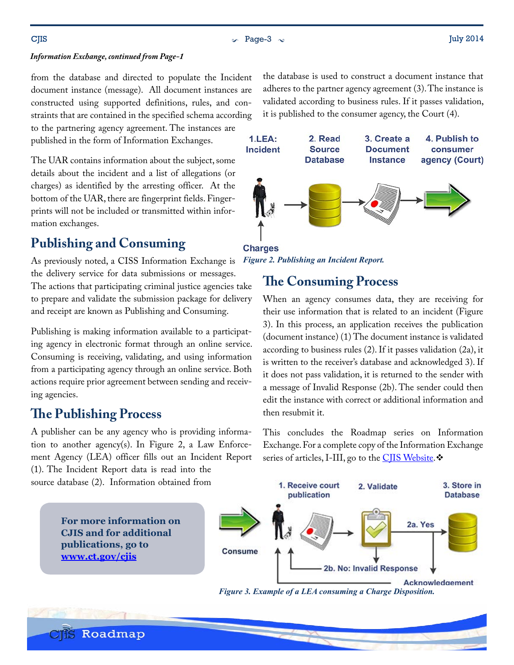$\sim$  Page-3  $\sim$  Dage-3  $\sim$  July 2014

#### *Information Exchange, continued from Page-1*

from the database and directed to populate the Incident document instance (message). All document instances are constructed using supported definitions, rules, and constraints that are contained in the specified schema according to the partnering agency agreement. The instances are

published in the form of Information Exchanges.

The UAR contains information about the subject, some details about the incident and a list of allegations (or charges) as identified by the arresting officer. At the bottom of the UAR, there are fingerprint fields. Fingerprints will not be included or transmitted within information exchanges.

## **Publishing and Consuming**

As previously noted, a CISS Information Exchange is the delivery service for data submissions or messages. The actions that participating criminal justice agencies take to prepare and validate the submission package for delivery and receipt are known as Publishing and Consuming.

Publishing is making information available to a participating agency in electronic format through an online service. Consuming is receiving, validating, and using information from a participating agency through an online service. Both actions require prior agreement between sending and receiving agencies.

## **The Publishing Process**

**CIIS Roadmap** 

A publisher can be any agency who is providing information to another agency(s). In [Figure 2,](#page-2-0) a Law Enforcement Agency (LEA) officer fills out an Incident Report (1). The Incident Report data is read into the

source database (2). Information obtained from

the database is used to construct a document instance that adheres to the partner agency agreement (3). The instance is validated according to business rules. If it passes validation, it is published to the consumer agency, the Court (4).



**Charges** *Figure 2. Publishing an Incident Report.*

## <span id="page-2-0"></span>**The Consuming Process**

When an agency consumes data, they are receiving for their use information that is related to an incident ([Figure](#page-2-1)  [3\)](#page-2-1). In this process, an application receives the publication (document instance) (1) The document instance is validated according to business rules (2). If it passes validation (2a), it is written to the receiver's database and acknowledged 3). If it does not pass validation, it is returned to the sender with a message of Invalid Response (2b). The sender could then edit the instance with correct or additional information and then resubmit it.

This concludes the Roadmap series on Information Exchange. For a complete copy of the Information Exchange series of articles, I-III, go to the CIIS Website.



<span id="page-2-1"></span>*Figure 3. Example of a LEA consuming a Charge Disposition.*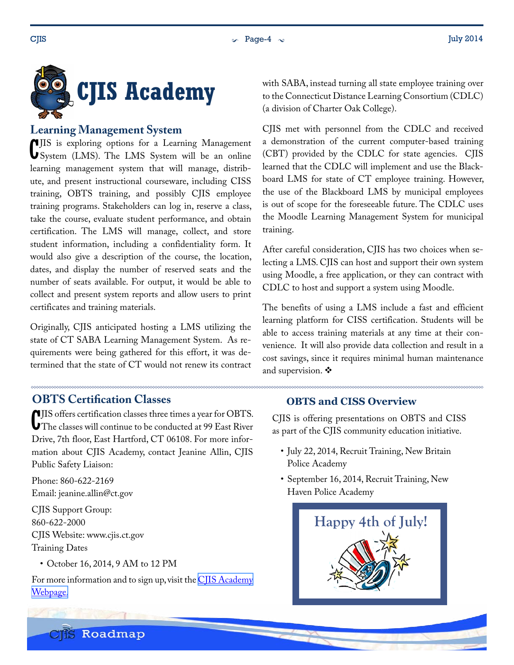<span id="page-3-0"></span>

#### **Learning Management System**

C System (LMS). The LMS System will be an online **IIS** is exploring options for a Learning Management learning management system that will manage, distribute, and present instructional courseware, including CISS training, OBTS training, and possibly CJIS employee training programs. Stakeholders can log in, reserve a class, take the course, evaluate student performance, and obtain certification. The LMS will manage, collect, and store student information, including a confidentiality form. It would also give a description of the course, the location, dates, and display the number of reserved seats and the number of seats available. For output, it would be able to collect and present system reports and allow users to print certificates and training materials.

Originally, CJIS anticipated hosting a LMS utilizing the state of CT SABA Learning Management System. As requirements were being gathered for this effort, it was determined that the state of CT would not renew its contract

### **OBTS Certification Classes**

C JIS offers certification classes three times a year for OBTS. The classes will continue to be conducted at 99 East River Drive, 7th floor, East Hartford, CT 06108. For more information about CJIS Academy, contact Jeanine Allin, CJIS Public Safety Liaison:

Phone: 860-622-2169 Email: jeanine.allin@ct.gov

CJIS Support Group: 860-622-2000 CJIS Website: www.cjis.ct.gov Training Dates

• October 16, 2014, 9 AM to 12 PM

**CIS** Roadmap

For more information and to sign up, visit the CIIS Academy [Webpage.](http://www.ct.gov/cjis/cwp/view.asp?a=4070&q=536902)

with SABA, instead turning all state employee training over to the Connecticut Distance Learning Consortium (CDLC) (a division of Charter Oak College).

CJIS met with personnel from the CDLC and received a demonstration of the current computer-based training (CBT) provided by the CDLC for state agencies. CJIS learned that the CDLC will implement and use the Blackboard LMS for state of CT employee training. However, the use of the Blackboard LMS by municipal employees is out of scope for the foreseeable future. The CDLC uses the Moodle Learning Management System for municipal training.

After careful consideration, CJIS has two choices when selecting a LMS. CJIS can host and support their own system using Moodle, a free application, or they can contract with CDLC to host and support a system using Moodle.

The benefits of using a LMS include a fast and efficient learning platform for CISS certification. Students will be able to access training materials at any time at their convenience. It will also provide data collection and result in a cost savings, since it requires minimal human maintenance and supervision.  $\mathbf{\hat{P}}$ 

#### **OBTS and CISS Overview**

CJIS is offering presentations on OBTS and CISS as part of the CJIS community education initiative.

- July 22, 2014, Recruit Training, New Britain Police Academy
- September 16, 2014, Recruit Training, New Haven Police Academy

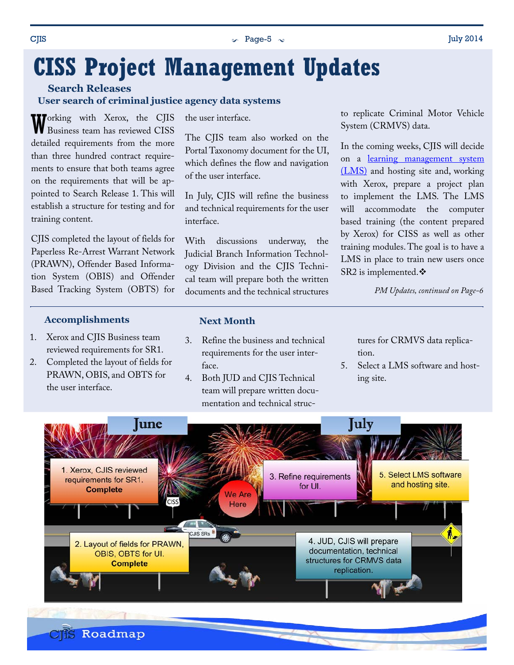#### <span id="page-4-0"></span> $\sim$  Page-5  $\sim$  July 2014

# **CISS Project Management Updates**

**Search Releases**

#### **User search of criminal justice agency data systems**

Working with Xerox, the CJIS Business team has reviewed CISS detailed requirements from the more than three hundred contract requirements to ensure that both teams agree on the requirements that will be appointed to Search Release 1. This will establish a structure for testing and for training content.

CJIS completed the layout of fields for Paperless Re-Arrest Warrant Network (PRAWN), Offender Based Information System (OBIS) and Offender Based Tracking System (OBTS) for

#### **Accomplishments**

- 1. Xerox and CJIS Business team reviewed requirements for SR1.
- 2. Completed the layout of fields for PRAWN, OBIS, and OBTS for the user interface.

the user interface.

The CJIS team also worked on the Portal Taxonomy document for the UI, which defines the flow and navigation of the user interface.

In July, CJIS will refine the business and technical requirements for the user interface.

With discussions underway, the Judicial Branch Information Technology Division and the CJIS Technical team will prepare both the written documents and the technical structures to replicate Criminal Motor Vehicle System (CRMVS) data.

In the coming weeks, CJIS will decide on a [learning management system](#page-3-0)  [\(LMS\)](#page-3-0) and hosting site and, working with Xerox, prepare a project plan to implement the LMS. The LMS will accommodate the computer based training (the content prepared by Xerox) for CISS as well as other training modules. The goal is to have a LMS in place to train new users once SR2 is implemented. ❖

*PM Updates, continued on Page-6*

#### **Next Month**

- 3. Refine the business and technical requirements for the user interface.
- 4. Both JUD and CJIS Technical team will prepare written documentation and technical struc-

tures for CRMVS data replication.

5. Select a LMS software and hosting site.

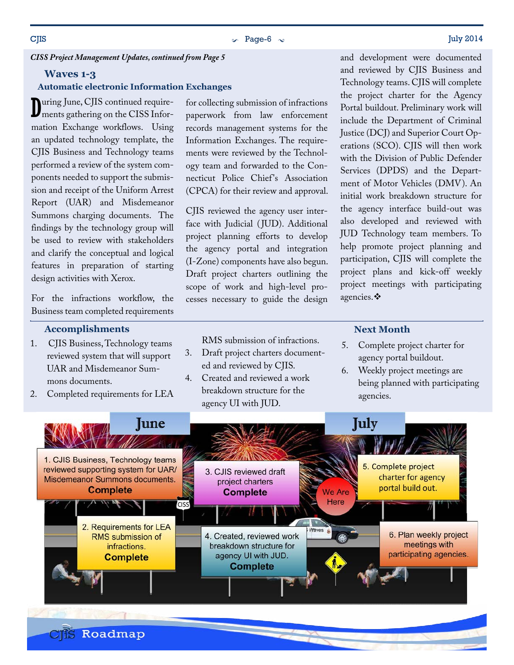#### $\sim$  Page-6  $\sim$  July 2014

#### *CISS Project Management Updates, continued from Page 5*

#### **Waves 1-3**

#### **Automatic electronic Information Exchanges**

D uring June, CJIS continued requirements gathering on the CISS Information Exchange workflows. Using an updated technology template, the CJIS Business and Technology teams performed a review of the system components needed to support the submission and receipt of the Uniform Arrest Report (UAR) and Misdemeanor Summons charging documents. The findings by the technology group will be used to review with stakeholders and clarify the conceptual and logical features in preparation of starting design activities with Xerox.

For the infractions workflow, the Business team completed requirements

#### **Accomplishments**

- 1. CJIS Business, Technology teams reviewed system that will support UAR and Misdemeanor Summons documents.
- 2. Completed requirements for LEA

for collecting submission of infractions paperwork from law enforcement records management systems for the Information Exchanges. The requirements were reviewed by the Technology team and forwarded to the Connecticut Police Chief's Association (CPCA) for their review and approval.

CJIS reviewed the agency user interface with Judicial (JUD). Additional project planning efforts to develop the agency portal and integration (I-Zone) components have also begun. Draft project charters outlining the scope of work and high-level processes necessary to guide the design

and development were documented and reviewed by CJIS Business and Technology teams. CJIS will complete the project charter for the Agency Portal buildout. Preliminary work will include the Department of Criminal Justice (DCJ) and Superior Court Operations (SCO). CJIS will then work with the Division of Public Defender Services (DPDS) and the Department of Motor Vehicles (DMV). An initial work breakdown structure for the agency interface build-out was also developed and reviewed with JUD Technology team members. To help promote project planning and participation, CJIS will complete the project plans and kick-off weekly project meetings with participating agencies. ❖

#### **Next Month**

- 5. Complete project charter for agency portal buildout.
- 6. Weekly project meetings are being planned with participating agencies.



RMS submission of infractions.

- 3. Draft project charters documented and reviewed by CJIS.
- 4. Created and reviewed a work breakdown structure for the agency UI with JUD.